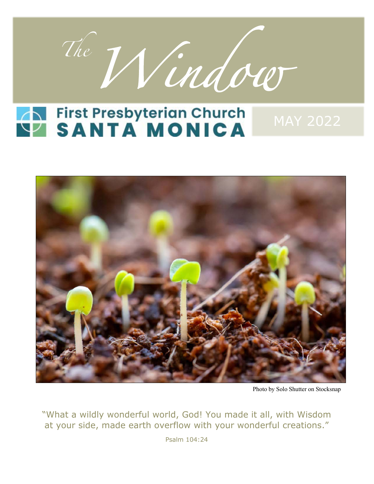

# **NASANTA MONICA**



Photo by Solo Shutter on Stocksnap

"What a wildly wonderful world, God! You made it all, with Wisdom at your side, made earth overflow with your wonderful creations."

Psalm 104:24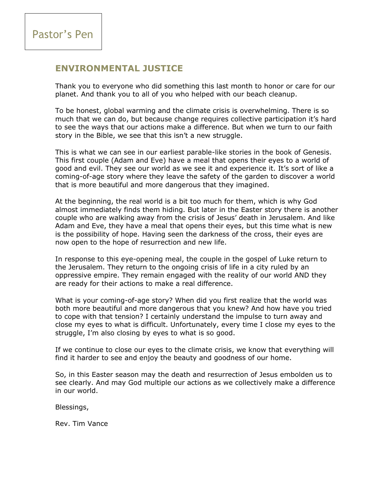### **ENVIRONMENTAL JUSTICE**

Thank you to everyone who did something this last month to honor or care for our planet. And thank you to all of you who helped with our beach cleanup.

To be honest, global warming and the climate crisis is overwhelming. There is so much that we can do, but because change requires collective participation it's hard to see the ways that our actions make a difference. But when we turn to our faith story in the Bible, we see that this isn't a new struggle.

This is what we can see in our earliest parable-like stories in the book of Genesis. This first couple (Adam and Eve) have a meal that opens their eyes to a world of good and evil. They see our world as we see it and experience it. It's sort of like a coming-of-age story where they leave the safety of the garden to discover a world that is more beautiful and more dangerous that they imagined.

At the beginning, the real world is a bit too much for them, which is why God almost immediately finds them hiding. But later in the Easter story there is another couple who are walking away from the crisis of Jesus' death in Jerusalem. And like Adam and Eve, they have a meal that opens their eyes, but this time what is new is the possibility of hope. Having seen the darkness of the cross, their eyes are now open to the hope of resurrection and new life.

In response to this eye-opening meal, the couple in the gospel of Luke return to the Jerusalem. They return to the ongoing crisis of life in a city ruled by an oppressive empire. They remain engaged with the reality of our world AND they are ready for their actions to make a real difference.

What is your coming-of-age story? When did you first realize that the world was both more beautiful and more dangerous that you knew? And how have you tried to cope with that tension? I certainly understand the impulse to turn away and close my eyes to what is difficult. Unfortunately, every time I close my eyes to the struggle, I'm also closing by eyes to what is so good.

If we continue to close our eyes to the climate crisis, we know that everything will find it harder to see and enjoy the beauty and goodness of our home.

So, in this Easter season may the death and resurrection of Jesus embolden us to see clearly. And may God multiple our actions as we collectively make a difference in our world.

Blessings,

Rev. Tim Vance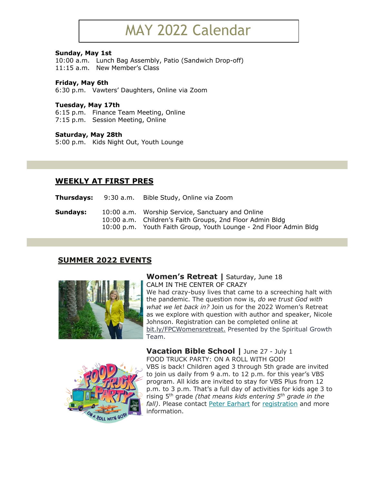### MAY 2022 Calendar

#### **Sunday, May 1st**

10:00 a.m. Lunch Bag Assembly, Patio (Sandwich Drop-off) 11:15 a.m. New Member's Class

#### **Friday, May 6th**

6:30 p.m. Vawters' Daughters, Online via Zoom

#### **Tuesday, May 17th**

6:15 p.m. Finance Team Meeting, Online 7:15 p.m. Session Meeting, Online

#### **Saturday, May 28th**

5:00 p.m. Kids Night Out, Youth Lounge

### **WEEKLY AT FIRST PRES**

**Thursdays:** 9:30 a.m. Bible Study, Online via Zoom

| Sundays: | 10:00 a.m. Worship Service, Sanctuary and Online                  |
|----------|-------------------------------------------------------------------|
|          | 10:00 a.m. Children's Faith Groups, 2nd Floor Admin Bldg          |
|          | 10:00 p.m. Youth Faith Group, Youth Lounge - 2nd Floor Admin Bldg |

### **SUMMER 2022 EVENTS**



#### **Women's Retreat |** Saturday, June 18 CALM IN THE CENTER OF CRAZY

We had crazy-busy lives that came to a screeching halt with the pandemic. The question now is, *do we trust God with what we let back in?* Join us for the 2022 Women's Retreat as we explore with question with author and speaker, Nicole Johnson. Registration can be completed online at bit.ly/FPCWomensretreat. Presented by the Spiritual Growth Team.



**Vacation Bible School |** June 27 - July 1 FOOD TRUCK PARTY: ON A ROLL WITH GOD! VBS is back! Children aged 3 through 5th grade are invited to join us daily from 9 a.m. to 12 p.m. for this year's VBS program. All kids are invited to stay for VBS Plus from 12 p.m. to 3 p.m. That's a full day of activities for kids age 3 to rising 5th grade *(that means kids entering 5th grade in the fall)*. Please contact Peter Earhart for registration and more information.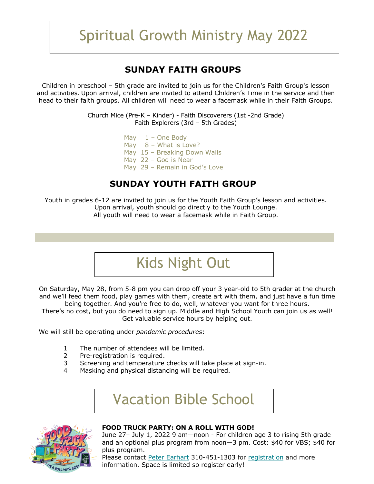### Spiritual Growth Ministry May 2022

### **SUNDAY FAITH GROUPS**

Children in preschool – 5th grade are invited to join us for the Children's Faith Group's lesson and activities. Upon arrival, children are invited to attend Children's Time in the service and then head to their faith groups. All children will need to wear a facemask while in their Faith Groups.

> Church Mice (Pre-K – Kinder) - Faith Discoverers (1st -2nd Grade) Faith Explorers (3rd – 5th Grades)

- May  $1 -$  One Body May 8 – What is Love? May 15 – Breaking Down Walls May 22 – God is Near
- May 29 Remain in God's Love

### **SUNDAY YOUTH FAITH GROUP**

Youth in grades 6-12 are invited to join us for the Youth Faith Group's lesson and activities. Upon arrival, youth should go directly to the Youth Lounge. All youth will need to wear a facemask while in Faith Group.

Kids Night Out

On Saturday, May 28, from 5-8 pm you can drop off your 3 year-old to 5th grader at the church and we'll feed them food, play games with them, create art with them, and just have a fun time being together. And you're free to do, well, whatever you want for three hours.

There's no cost, but you do need to sign up. Middle and High School Youth can join us as well! Get valuable service hours by helping out.

We will still be operating under *pandemic procedures*:

- 1 The number of attendees will be limited.
- 2 Pre-registration is required.
- 3 Screening and temperature checks will take place at sign-in.
- 4 Masking and physical distancing will be required.

Vacation Bible School



#### **FOOD TRUCK PARTY: ON A ROLL WITH GOD!**

June 27– July 1, 2022 9 am—noon - For children age 3 to rising 5th grade and an optional plus program from noon—3 pm. Cost: \$40 for VBS; \$40 for plus program.

Please contact Peter Earhart 310-451-1303 for registration and more information. Space is limited so register early!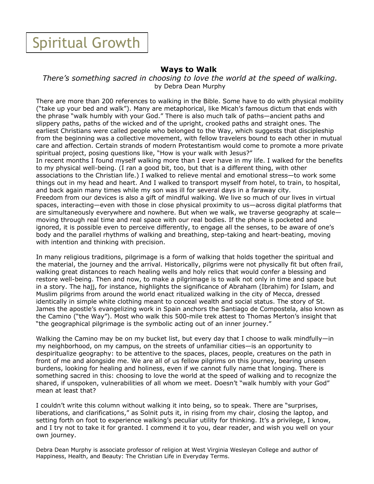### Spiritual Growth

### **Ways to Walk**

*There's something sacred in choosing to love the world at the speed of walking.* by Debra Dean Murphy

There are more than 200 references to walking in the Bible. Some have to do with physical mobility ("take up your bed and walk"). Many are metaphorical, like Micah's famous dictum that ends with the phrase "walk humbly with your God." There is also much talk of paths—ancient paths and slippery paths, paths of the wicked and of the upright, crooked paths and straight ones. The earliest Christians were called people who belonged to the Way, which suggests that discipleship from the beginning was a collective movement, with fellow travelers bound to each other in mutual care and affection. Certain strands of modern Protestantism would come to promote a more private spiritual project, posing questions like, "How is your walk with Jesus?" In recent months I found myself walking more than I ever have in my life. I walked for the benefits to my physical well-being. (I ran a good bit, too, but that is a different thing, with other associations to the Christian life.) I walked to relieve mental and emotional stress—to work some things out in my head and heart. And I walked to transport myself from hotel, to train, to hospital, and back again many times while my son was ill for several days in a faraway city. Freedom from our devices is also a gift of mindful walking. We live so much of our lives in virtual spaces, interacting—even with those in close physical proximity to us—across digital platforms that are simultaneously everywhere and nowhere. But when we walk, we traverse geography at scale moving through real time and real space with our real bodies. If the phone is pocketed and ignored, it is possible even to perceive differently, to engage all the senses, to be aware of one's body and the parallel rhythms of walking and breathing, step-taking and heart-beating, moving with intention and thinking with precision.

In many religious traditions, pilgrimage is a form of walking that holds together the spiritual and the material, the journey and the arrival. Historically, pilgrims were not physically fit but often frail, walking great distances to reach healing wells and holy relics that would confer a blessing and restore well-being. Then and now, to make a pilgrimage is to walk not only in time and space but in a story. The hajj, for instance, highlights the significance of Abraham (Ibrahim) for Islam, and Muslim pilgrims from around the world enact ritualized walking in the city of Mecca, dressed identically in simple white clothing meant to conceal wealth and social status. The story of St. James the apostle's evangelizing work in Spain anchors the Santiago de Compostela, also known as the Camino ("the Way"). Most who walk this 500-mile trek attest to Thomas Merton's insight that "the geographical pilgrimage is the symbolic acting out of an inner journey."

Walking the Camino may be on my bucket list, but every day that I choose to walk mindfully—in my neighborhood, on my campus, on the streets of unfamiliar cities—is an opportunity to despiritualize geography: to be attentive to the spaces, places, people, creatures on the path in front of me and alongside me. We are all of us fellow pilgrims on this journey, bearing unseen burdens, looking for healing and holiness, even if we cannot fully name that longing. There is something sacred in this: choosing to love the world at the speed of walking and to recognize the shared, if unspoken, vulnerabilities of all whom we meet. Doesn't "walk humbly with your God" mean at least that?

I couldn't write this column without walking it into being, so to speak. There are "surprises, liberations, and clarifications," as Solnit puts it, in rising from my chair, closing the laptop, and setting forth on foot to experience walking's peculiar utility for thinking. It's a privilege, I know, and I try not to take it for granted. I commend it to you, dear reader, and wish you well on your own journey.

Debra Dean Murphy is associate professor of religion at West Virginia Wesleyan College and author of Happiness, Health, and Beauty: The Christian Life in Everyday Terms.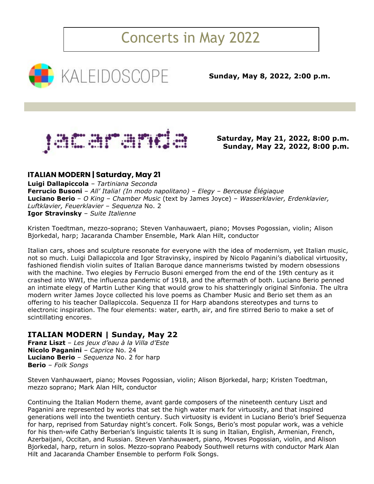### Concerts in May 2022



**Sunday, May 8, 2022, 2:00 p.m.**



**Saturday, May 21, 2022, 8:00 p.m. Sunday, May 22, 2022, 8:00 p.m.**

### **ITALIAN MODERN | Saturday, May 21**

**Luigi Dallapiccola** – *Tartiniana Seconda* **Ferrucio Busoni** – *All' Italia! (In modo napolitano)* – *Elegy* – *Berceuse Élégiaque* **Luciano Berio** – *O King* – *Chamber Music* (text by James Joyce) – *Wasserklavier, Erdenklavier, Luftklavier, Feuerklavier* – *Sequenza* No. 2 **Igor Stravinsky** – *Suite Italienne*

Kristen Toedtman, mezzo-soprano; Steven Vanhauwaert, piano; Movses Pogossian, violin; Alison Bjorkedal, harp; Jacaranda Chamber Ensemble, Mark Alan Hilt, conductor

Italian cars, shoes and sculpture resonate for everyone with the idea of modernism, yet Italian music, not so much. Luigi Dallapiccola and Igor Stravinsky, inspired by Nicolo Paganini's diabolical virtuosity, fashioned fiendish violin suites of Italian Baroque dance mannerisms twisted by modern obsessions with the machine. Two elegies by Ferrucio Busoni emerged from the end of the 19th century as it crashed into WWI, the influenza pandemic of 1918, and the aftermath of both. Luciano Berio penned an intimate elegy of Martin Luther King that would grow to his shatteringly original Sinfonia. The ultra modern writer James Joyce collected his love poems as Chamber Music and Berio set them as an offering to his teacher Dallapiccola. Sequenza II for Harp abandons stereotypes and turns to electronic inspiration. The four elements: water, earth, air, and fire stirred Berio to make a set of scintillating encores.

### **ITALIAN MODERN | Sunday, May 22**

**Franz Liszt** – *Les jeux d'eau à la Villa d'Este* **Nicolo Paganini** – *Caprice* No. 24 **Luciano Berio** – *Sequenza* No. 2 for harp **Berio** – *Folk Songs*

Steven Vanhauwaert, piano; Movses Pogossian, violin; Alison Bjorkedal, harp; Kristen Toedtman, mezzo soprano; Mark Alan Hilt, conductor

Continuing the Italian Modern theme, avant garde composers of the nineteenth century Liszt and Paganini are represented by works that set the high water mark for virtuosity, and that inspired generations well into the twentieth century. Such virtuosity is evident in Luciano Berio's brief Sequenza for harp, reprised from Saturday night's concert. Folk Songs, Berio's most popular work, was a vehicle for his then-wife Cathy Berberian's linguistic talents It is sung in Italian, English, Armenian, French, Azerbaijani, Occitan, and Russian. Steven Vanhauwaert, piano, Movses Pogossian, violin, and Alison Bjorkedal, harp, return in solos. Mezzo-soprano Peabody Southwell returns with conductor Mark Alan Hilt and Jacaranda Chamber Ensemble to perform Folk Songs.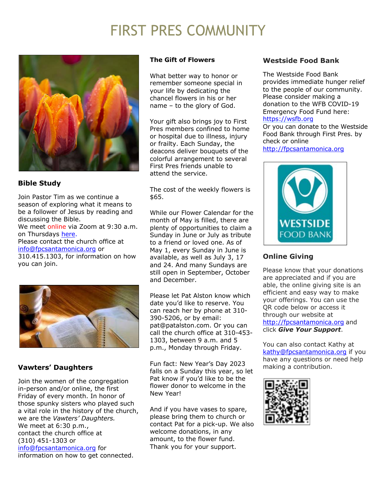### FIRST PRES COMMUNITY



### **Bible Study**

Join Pastor Tim as we continue a season of exploring what it means to be a follower of Jesus by reading and discussing the Bible.

We meet online via Zoom at 9:30 a.m. on Thursdays here.

Please contact the church office at info@fpcsantamonica.org or

310.415.1303, for information on how you can join.



### **Vawters' Daughters**

Join the women of the congregation in-person and/or online, the first Friday of every month. In honor of those spunky sisters who played such a vital role in the history of the church, we are the *Vawters' Daughters.* We meet at 6:30 p.m., contact the church office at (310) 451-1303 or info@fpcsantamonica.org for information on how to get connected.

### **The Gift of Flowers**

What better way to honor or remember someone special in your life by dedicating the chancel flowers in his or her name – to the glory of God.

Your gift also brings joy to First Pres members confined to home or hospital due to illness, injury or frailty. Each Sunday, the deacons deliver bouquets of the colorful arrangement to several First Pres friends unable to attend the service.

The cost of the weekly flowers is \$65.

While our Flower Calendar for the month of May is filled, there are plenty of opportunities to claim a Sunday in June or July as tribute to a friend or loved one. As of May 1, every Sunday in June is available, as well as July 3, 17 and 24. And many Sundays are still open in September, October and December.

Please let Pat Alston know which date you'd like to reserve. You can reach her by phone at 310- 390-5206, or by email: pat@patalston.com. Or you can call the church office at 310-453- 1303, between 9 a.m. and 5 p.m., Monday through Friday.

Fun fact: New Year's Day 2023 falls on a Sunday this year, so let Pat know if you'd like to be the flower donor to welcome in the New Year!

And if you have vases to spare, please bring them to church or contact Pat for a pick-up. We also welcome donations, in any amount, to the flower fund. Thank you for your support.

### **Westside Food Bank**

The Westside Food Bank provides immediate hunger relief to the people of our community. Please consider making a donation to the WFB COVID-19 Emergency Food Fund here: https://wsfb.org

Or you can donate to the Westside Food Bank through First Pres. by check or online http://fpcsantamonica.org



### **Online Giving**

Please know that your donations are appreciated and if you are able, the online giving site is an efficient and easy way to make your offerings. You can use the QR code below or access it through our website at http://fpcsantamonica.org and click *Give Your Support*.

You can also contact Kathy at kathy@fpcsantamonica.org if you have any questions or need help making a contribution.